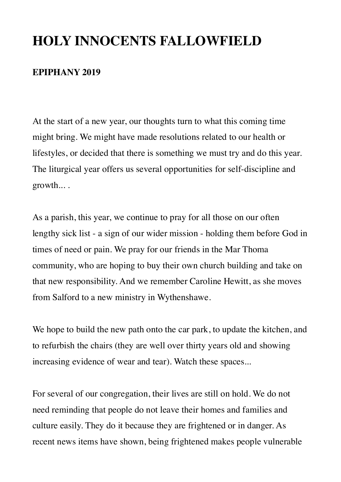# **HOLY INNOCENTS FALLOWFIELD**

### **EPIPHANY 2019**

At the start of a new year, our thoughts turn to what this coming time might bring. We might have made resolutions related to our health or lifestyles, or decided that there is something we must try and do this year. The liturgical year offers us several opportunities for self-discipline and growth... .

As a parish, this year, we continue to pray for all those on our often lengthy sick list - a sign of our wider mission - holding them before God in times of need or pain. We pray for our friends in the Mar Thoma community, who are hoping to buy their own church building and take on that new responsibility. And we remember Caroline Hewitt, as she moves from Salford to a new ministry in Wythenshawe.

We hope to build the new path onto the car park, to update the kitchen, and to refurbish the chairs (they are well over thirty years old and showing increasing evidence of wear and tear). Watch these spaces...

For several of our congregation, their lives are still on hold. We do not need reminding that people do not leave their homes and families and culture easily. They do it because they are frightened or in danger. As recent news items have shown, being frightened makes people vulnerable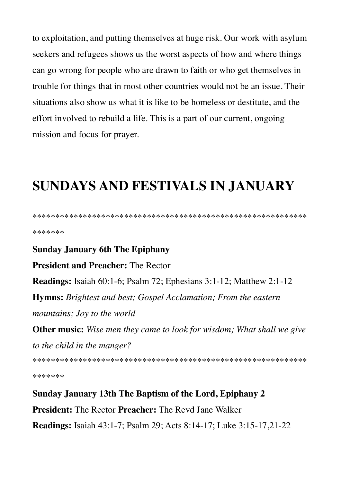to exploitation, and putting themselves at huge risk. Our work with asylum seekers and refugees shows us the worst aspects of how and where things can go wrong for people who are drawn to faith or who get themselves in trouble for things that in most other countries would not be an issue. Their situations also show us what it is like to be homeless or destitute, and the effort involved to rebuild a life. This is a part of our current, ongoing mission and focus for prayer.

# **SUNDAYS AND FESTIVALS IN JANUARY**

\*\*\*\*\*\*\*

#### **Sunday January 6th The Epiphany**

**President and Preacher: The Rector** 

Readings: Isaiah 60:1-6; Psalm 72; Ephesians 3:1-12; Matthew 2:1-12

**Hymns:** Brightest and best; Gospel Acclamation; From the eastern mountains; Joy to the world

**Other music:** Wise men they came to look for wisdom; What shall we give to the child in the manger?

\*\*\*\*\*\*\*

Sunday January 13th The Baptism of the Lord, Epiphany 2 **President:** The Rector Preacher: The Revd Jane Walker **Readings:** Isaiah 43:1-7; Psalm 29; Acts 8:14-17; Luke 3:15-17, 21-22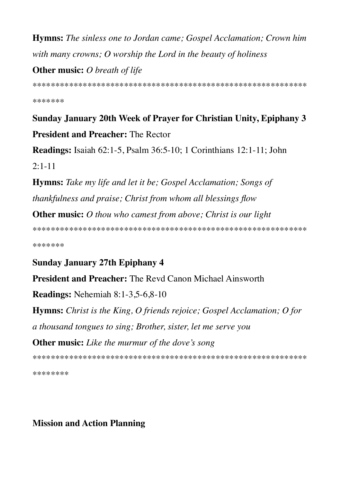**Hymns:** The sinless one to Jordan came; Gospel Acclamation; Crown him with many crowns;  $O$  worship the Lord in the beauty of holiness

**Other music:** O breath of life

\*\*\*\*\*\*\*

Sunday January 20th Week of Prayer for Christian Unity, Epiphany 3 **President and Preacher: The Rector** 

**Readings:** Isaiah 62:1-5, Psalm 36:5-10; 1 Corinthians 12:1-11; John  $2:1-11$ 

**Hymns:** Take my life and let it be; Gospel Acclamation; Songs of thankfulness and praise; Christ from whom all blessings flow

**Other music:** O thou who camest from above; Christ is our light

\*\*\*\*\*\*\*

**Sunday January 27th Epiphany 4** 

**President and Preacher:** The Revd Canon Michael Ainsworth

**Readings:** Nehemiah  $8:1-3,5-6,8-10$ 

**Hymns:** Christ is the King, O friends rejoice; Gospel Acclamation; O for a thousand tongues to sing; Brother, sister, let me serve you **Other music:** Like the murmur of the dove's song

\*\*\*\*\*\*\*\*

**Mission and Action Planning**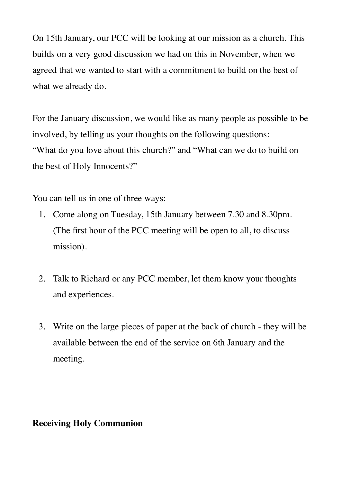On 15th January, our PCC will be looking at our mission as a church. This builds on a very good discussion we had on this in November, when we agreed that we wanted to start with a commitment to build on the best of what we already do.

For the January discussion, we would like as many people as possible to be involved, by telling us your thoughts on the following questions: "What do you love about this church?" and "What can we do to build on the best of Holy Innocents?"

You can tell us in one of three ways:

- 1. Come along on Tuesday, 15th January between 7.30 and 8.30pm. (The first hour of the PCC meeting will be open to all, to discuss mission).
- 2. Talk to Richard or any PCC member, let them know your thoughts and experiences.
- 3. Write on the large pieces of paper at the back of church they will be available between the end of the service on 6th January and the meeting.

### **Receiving Holy Communion**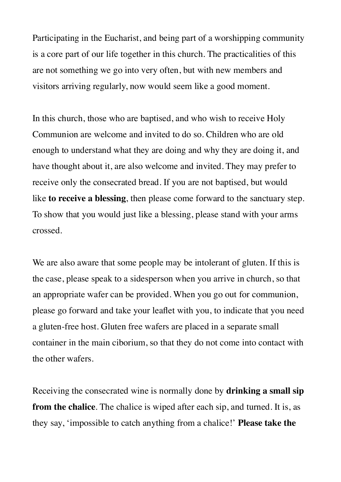Participating in the Eucharist, and being part of a worshipping community is a core part of our life together in this church. The practicalities of this are not something we go into very often, but with new members and visitors arriving regularly, now would seem like a good moment.

In this church, those who are baptised, and who wish to receive Holy Communion are welcome and invited to do so. Children who are old enough to understand what they are doing and why they are doing it, and have thought about it, are also welcome and invited. They may prefer to receive only the consecrated bread. If you are not baptised, but would like **to receive a blessing**, then please come forward to the sanctuary step. To show that you would just like a blessing, please stand with your arms crossed.

We are also aware that some people may be intolerant of gluten. If this is the case, please speak to a sidesperson when you arrive in church, so that an appropriate wafer can be provided. When you go out for communion, please go forward and take your leaflet with you, to indicate that you need a gluten-free host. Gluten free wafers are placed in a separate small container in the main ciborium, so that they do not come into contact with the other wafers.

Receiving the consecrated wine is normally done by **drinking a small sip from the chalice**. The chalice is wiped after each sip, and turned. It is, as they say, 'impossible to catch anything from a chalice!' **Please take the**